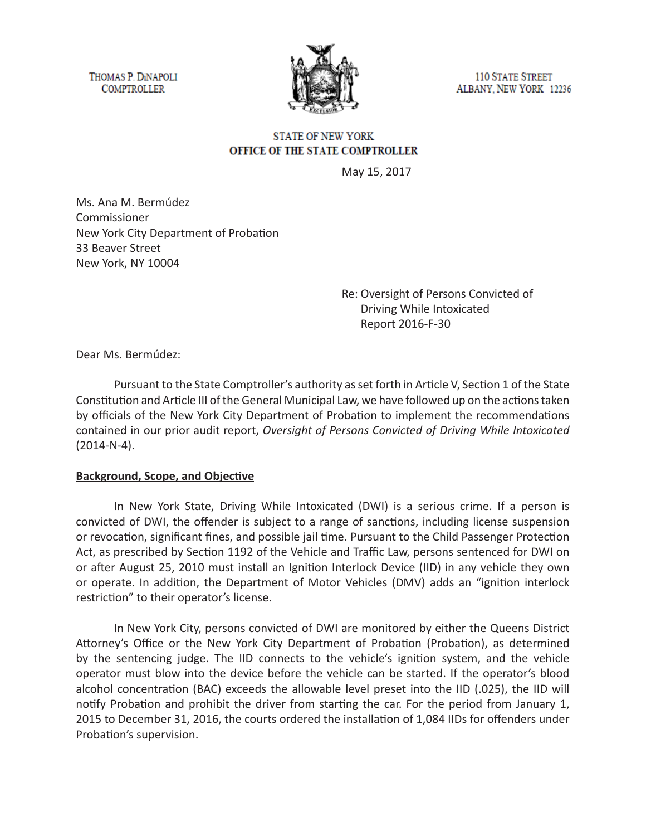THOMAS P. DINAPOLI **COMPTROLLER** 



**110 STATE STREET** ALBANY, NEW YORK 12236

## **STATE OF NEW YORK** OFFICE OF THE STATE COMPTROLLER

May 15, 2017

Ms. Ana M. Bermúdez Commissioner New York City Department of Probation 33 Beaver Street New York, NY 10004

> Re: Oversight of Persons Convicted of Driving While Intoxicated Report 2016-F-30

Dear Ms. Bermúdez:

Pursuant to the State Comptroller's authority as set forth in Article V, Section 1 of the State Constitution and Article III of the General Municipal Law, we have followed up on the actions taken by officials of the New York City Department of Probation to implement the recommendations contained in our prior audit report, *Oversight of Persons Convicted of Driving While Intoxicated*  (2014-N-4).

## **Background, Scope, and Objective**

In New York State, Driving While Intoxicated (DWI) is a serious crime. If a person is convicted of DWI, the offender is subject to a range of sanctions, including license suspension or revocation, significant fines, and possible jail time. Pursuant to the Child Passenger Protection Act, as prescribed by Section 1192 of the Vehicle and Traffic Law, persons sentenced for DWI on or after August 25, 2010 must install an Ignition Interlock Device (IID) in any vehicle they own or operate. In addition, the Department of Motor Vehicles (DMV) adds an "ignition interlock restriction" to their operator's license.

In New York City, persons convicted of DWI are monitored by either the Queens District Attorney's Office or the New York City Department of Probation (Probation), as determined by the sentencing judge. The IID connects to the vehicle's ignition system, and the vehicle operator must blow into the device before the vehicle can be started. If the operator's blood alcohol concentration (BAC) exceeds the allowable level preset into the IID (.025), the IID will notify Probation and prohibit the driver from starting the car. For the period from January 1, 2015 to December 31, 2016, the courts ordered the installation of 1,084 IIDs for offenders under Probation's supervision.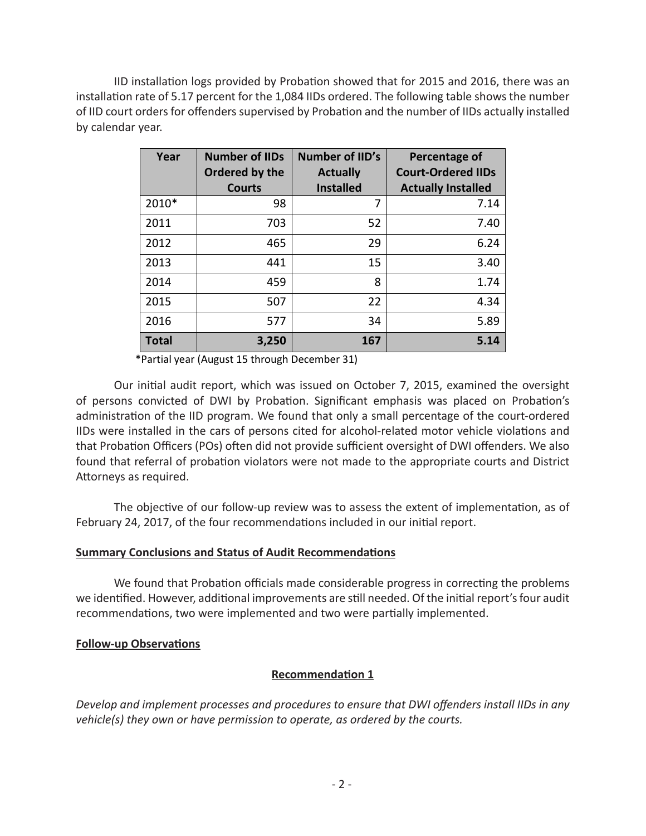IID installation logs provided by Probation showed that for 2015 and 2016, there was an installation rate of 5.17 percent for the 1,084 IIDs ordered. The following table shows the number of IID court orders for offenders supervised by Probation and the number of IIDs actually installed by calendar year.

| Year         | <b>Number of IIDs</b><br>Ordered by the<br><b>Courts</b> | <b>Number of IID's</b><br><b>Actually</b><br><b>Installed</b> | Percentage of<br><b>Court-Ordered IIDs</b><br><b>Actually Installed</b> |
|--------------|----------------------------------------------------------|---------------------------------------------------------------|-------------------------------------------------------------------------|
| 2010*        | 98                                                       | 7                                                             | 7.14                                                                    |
| 2011         | 703                                                      | 52                                                            | 7.40                                                                    |
| 2012         | 465                                                      | 29                                                            | 6.24                                                                    |
| 2013         | 441                                                      | 15                                                            | 3.40                                                                    |
| 2014         | 459                                                      | 8                                                             | 1.74                                                                    |
| 2015         | 507                                                      | 22                                                            | 4.34                                                                    |
| 2016         | 577                                                      | 34                                                            | 5.89                                                                    |
| <b>Total</b> | 3,250                                                    | 167                                                           | 5.14                                                                    |

\*Partial year (August 15 through December 31)

Our initial audit report, which was issued on October 7, 2015, examined the oversight of persons convicted of DWI by Probation. Significant emphasis was placed on Probation's administration of the IID program. We found that only a small percentage of the court-ordered IIDs were installed in the cars of persons cited for alcohol-related motor vehicle violations and that Probation Officers (POs) often did not provide sufficient oversight of DWI offenders. We also found that referral of probation violators were not made to the appropriate courts and District Attorneys as required.

The objective of our follow-up review was to assess the extent of implementation, as of February 24, 2017, of the four recommendations included in our initial report.

## **Summary Conclusions and Status of Audit Recommendations**

We found that Probation officials made considerable progress in correcting the problems we identified. However, additional improvements are still needed. Of the initial report's four audit recommendations, two were implemented and two were partially implemented.

## **Follow-up Observations**

## **Recommendation 1**

*Develop and implement processes and procedures to ensure that DWI offenders install IIDs in any vehicle(s) they own or have permission to operate, as ordered by the courts.*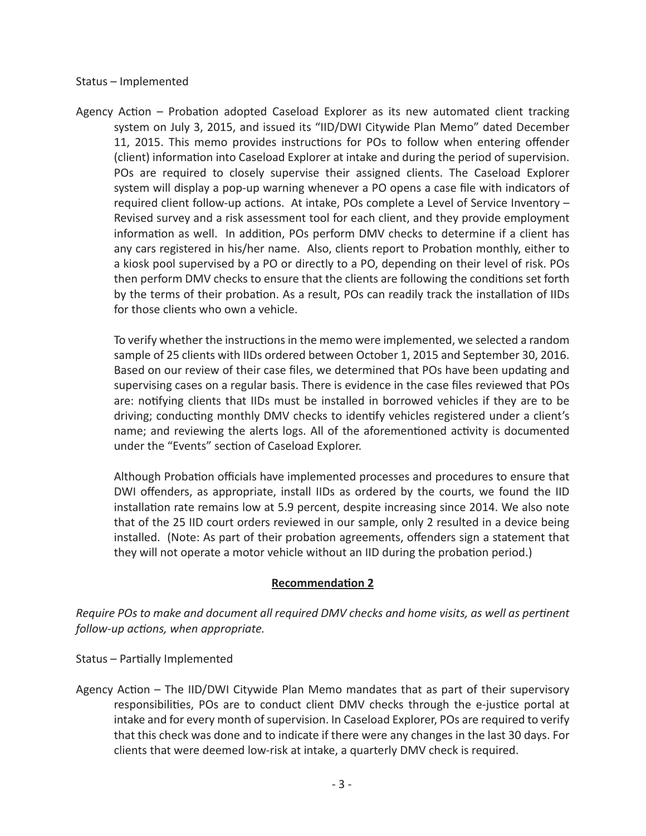#### Status – Implemented

Agency Action – Probation adopted Caseload Explorer as its new automated client tracking system on July 3, 2015, and issued its "IID/DWI Citywide Plan Memo" dated December 11, 2015. This memo provides instructions for POs to follow when entering offender (client) information into Caseload Explorer at intake and during the period of supervision. POs are required to closely supervise their assigned clients. The Caseload Explorer system will display a pop-up warning whenever a PO opens a case file with indicators of required client follow-up actions. At intake, POs complete a Level of Service Inventory – Revised survey and a risk assessment tool for each client, and they provide employment information as well. In addition, POs perform DMV checks to determine if a client has any cars registered in his/her name. Also, clients report to Probation monthly, either to a kiosk pool supervised by a PO or directly to a PO, depending on their level of risk. POs then perform DMV checks to ensure that the clients are following the conditions set forth by the terms of their probation. As a result, POs can readily track the installation of IIDs for those clients who own a vehicle.

To verify whether the instructions in the memo were implemented, we selected a random sample of 25 clients with IIDs ordered between October 1, 2015 and September 30, 2016. Based on our review of their case files, we determined that POs have been updating and supervising cases on a regular basis. There is evidence in the case files reviewed that POs are: notifying clients that IIDs must be installed in borrowed vehicles if they are to be driving; conducting monthly DMV checks to identify vehicles registered under a client's name; and reviewing the alerts logs. All of the aforementioned activity is documented under the "Events" section of Caseload Explorer.

Although Probation officials have implemented processes and procedures to ensure that DWI offenders, as appropriate, install IIDs as ordered by the courts, we found the IID installation rate remains low at 5.9 percent, despite increasing since 2014. We also note that of the 25 IID court orders reviewed in our sample, only 2 resulted in a device being installed. (Note: As part of their probation agreements, offenders sign a statement that they will not operate a motor vehicle without an IID during the probation period.)

## **Recommendation 2**

*Require POs to make and document all required DMV checks and home visits, as well as pertinent follow-up actions, when appropriate.* 

Status – Partially Implemented

Agency Action – The IID/DWI Citywide Plan Memo mandates that as part of their supervisory responsibilities, POs are to conduct client DMV checks through the e-justice portal at intake and for every month of supervision. In Caseload Explorer, POs are required to verify that this check was done and to indicate if there were any changes in the last 30 days. For clients that were deemed low-risk at intake, a quarterly DMV check is required.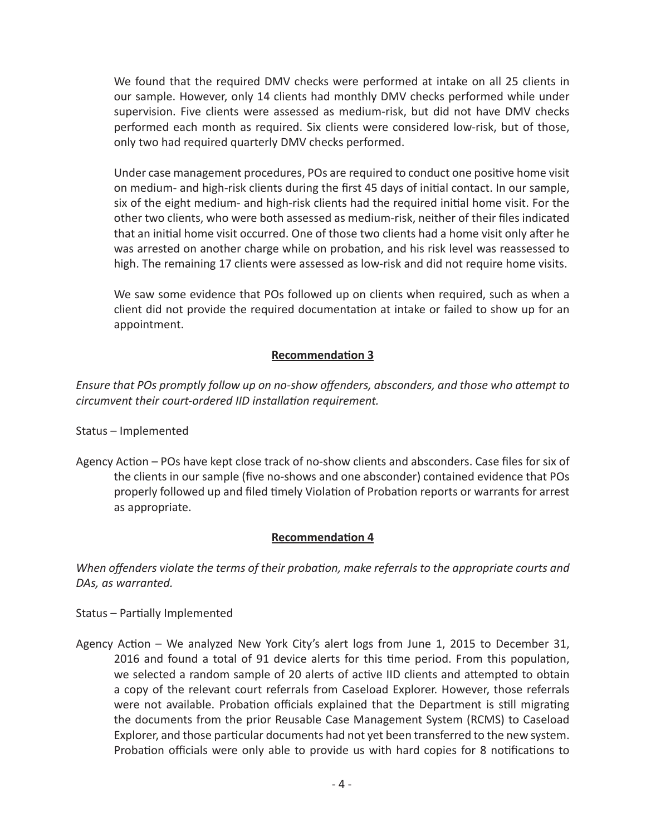We found that the required DMV checks were performed at intake on all 25 clients in our sample. However, only 14 clients had monthly DMV checks performed while under supervision. Five clients were assessed as medium-risk, but did not have DMV checks performed each month as required. Six clients were considered low-risk, but of those, only two had required quarterly DMV checks performed.

Under case management procedures, POs are required to conduct one positive home visit on medium- and high-risk clients during the first 45 days of initial contact. In our sample, six of the eight medium- and high-risk clients had the required initial home visit. For the other two clients, who were both assessed as medium-risk, neither of their files indicated that an initial home visit occurred. One of those two clients had a home visit only after he was arrested on another charge while on probation, and his risk level was reassessed to high. The remaining 17 clients were assessed as low-risk and did not require home visits.

We saw some evidence that POs followed up on clients when required, such as when a client did not provide the required documentation at intake or failed to show up for an appointment.

# **Recommendation 3**

*Ensure that POs promptly follow up on no-show offenders, absconders, and those who attempt to circumvent their court-ordered IID installation requirement.*

Status – Implemented

Agency Action – POs have kept close track of no-show clients and absconders. Case files for six of the clients in our sample (five no-shows and one absconder) contained evidence that POs properly followed up and filed timely Violation of Probation reports or warrants for arrest as appropriate.

## **Recommendation 4**

*When offenders violate the terms of their probation, make referrals to the appropriate courts and DAs, as warranted.* 

Status – Partially Implemented

Agency Action – We analyzed New York City's alert logs from June 1, 2015 to December 31, 2016 and found a total of 91 device alerts for this time period. From this population, we selected a random sample of 20 alerts of active IID clients and attempted to obtain a copy of the relevant court referrals from Caseload Explorer. However, those referrals were not available. Probation officials explained that the Department is still migrating the documents from the prior Reusable Case Management System (RCMS) to Caseload Explorer, and those particular documents had not yet been transferred to the new system. Probation officials were only able to provide us with hard copies for 8 notifications to